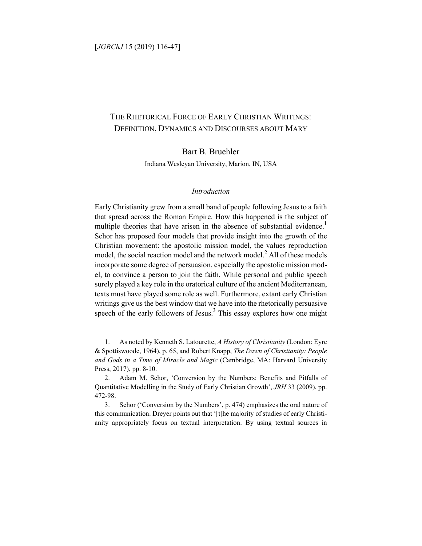# THE RHETORICAL FORCE OF EARLY CHRISTIAN WRITINGS: DEFINITION, DYNAMICS AND DISCOURSES ABOUT MARY

# Bart B. Bruehler

Indiana Wesleyan University, Marion, IN, USA

#### *Introduction*

Early Christianity grew from a small band of people following Jesus to a faith that spread across the Roman Empire. How this happened is the subject of multiple theories that have arisen in the absence of substantial evidence.<sup>1</sup> Schor has proposed four models that provide insight into the growth of the Christian movement: the apostolic mission model, the values reproduction model, the social reaction model and the network model.<sup>2</sup> All of these models incorporate some degree of persuasion, especially the apostolic mission model, to convince a person to join the faith. While personal and public speech surely played a key role in the oratorical culture of the ancient Mediterranean, texts must have played some role as well. Furthermore, extant early Christian writings give us the best window that we have into the rhetorically persuasive speech of the early followers of Jesus.<sup>3</sup> This essay explores how one might

1. As noted by Kenneth S. Latourette, *A History of Christianity* (London: Eyre & Spottiswoode, 1964), p. 65, and Robert Knapp, *The Dawn of Christianity: People and Gods in a Time of Miracle and Magic* (Cambridge, MA: Harvard University Press, 2017), pp. 8-10.

2. Adam M. Schor, 'Conversion by the Numbers: Benefits and Pitfalls of Quantitative Modelling in the Study of Early Christian Growth', *JRH* 33 (2009), pp. 472-98.

3. Schor ('Conversion by the Numbers', p. 474) emphasizes the oral nature of this communication. Dreyer points out that '[t]he majority of studies of early Christianity appropriately focus on textual interpretation. By using textual sources in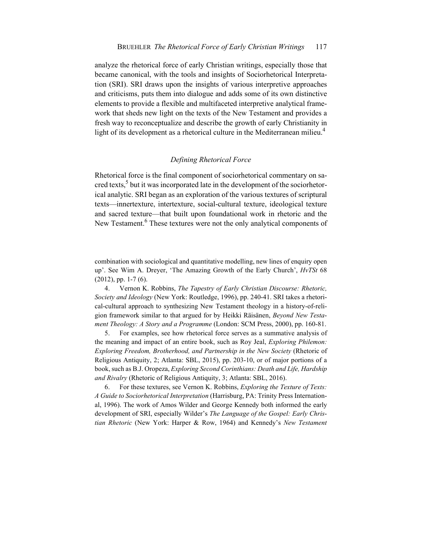analyze the rhetorical force of early Christian writings, especially those that became canonical, with the tools and insights of Sociorhetorical Interpretation (SRI). SRI draws upon the insights of various interpretive approaches and criticisms, puts them into dialogue and adds some of its own distinctive elements to provide a flexible and multifaceted interpretive analytical framework that sheds new light on the texts of the New Testament and provides a fresh way to reconceptualize and describe the growth of early Christianity in light of its development as a rhetorical culture in the Mediterranean milieu.<sup>4</sup>

#### *Defining Rhetorical Force*

Rhetorical force is the final component of sociorhetorical commentary on sacred texts, $5$  but it was incorporated late in the development of the sociorhetorical analytic. SRI began as an exploration of the various textures of scriptural texts—innertexture, intertexture, social-cultural texture, ideological texture and sacred texture—that built upon foundational work in rhetoric and the New Testament.<sup>6</sup> These textures were not the only analytical components of

combination with sociological and quantitative modelling, new lines of enquiry open up'. See Wim A. Dreyer, 'The Amazing Growth of the Early Church', *HvTSt* 68 (2012), pp. 1-7 (6).

4. Vernon K. Robbins, *The Tapestry of Early Christian Discourse: Rhetoric, Society and Ideology* (New York: Routledge, 1996), pp. 240-41. SRI takes a rhetorical-cultural approach to synthesizing New Testament theology in a history-of-religion framework similar to that argued for by Heikki Räisänen, *Beyond New Testament Theology: A Story and a Programme* (London: SCM Press, 2000), pp. 160-81.

5. For examples, see how rhetorical force serves as a summative analysis of the meaning and impact of an entire book, such as Roy Jeal, *Exploring Philemon: Exploring Freedom, Brotherhood, and Partnership in the New Society* (Rhetoric of Religious Antiquity, 2; Atlanta: SBL, 2015), pp. 203-10, or of major portions of a book, such as B.J. Oropeza, *Exploring Second Corinthians: Death and Life, Hardship and Rivalry* (Rhetoric of Religious Antiquity, 3; Atlanta: SBL, 2016).

6. For these textures, see Vernon K. Robbins, *Exploring the Texture of Texts: A Guide to Sociorhetorical Interpretation* (Harrisburg, PA: Trinity Press International, 1996). The work of Amos Wilder and George Kennedy both informed the early development of SRI, especially Wilder's *The Language of the Gospel: Early Christian Rhetoric* (New York: Harper & Row, 1964) and Kennedy's *New Testament*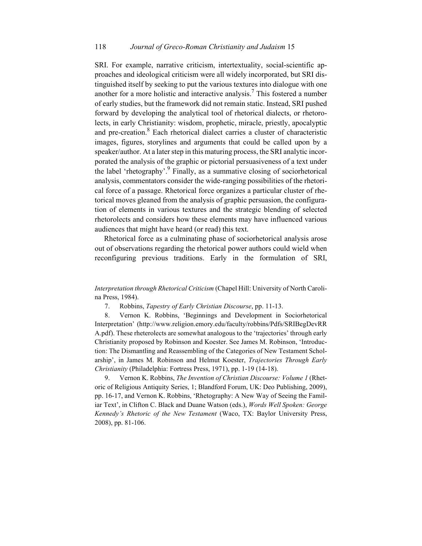SRI. For example, narrative criticism, intertextuality, social-scientific approaches and ideological criticism were all widely incorporated, but SRI distinguished itself by seeking to put the various textures into dialogue with one another for a more holistic and interactive analysis.<sup>7</sup> This fostered a number of early studies, but the framework did not remain static. Instead, SRI pushed forward by developing the analytical tool of rhetorical dialects, or rhetorolects, in early Christianity: wisdom, prophetic, miracle, priestly, apocalyptic and pre-creation.<sup>8</sup> Each rhetorical dialect carries a cluster of characteristic images, figures, storylines and arguments that could be called upon by a speaker/author. At a later step in this maturing process, the SRI analytic incorporated the analysis of the graphic or pictorial persuasiveness of a text under the label 'rhetography'.<sup>9</sup> Finally, as a summative closing of sociorhetorical analysis, commentators consider the wide-ranging possibilities of the rhetorical force of a passage. Rhetorical force organizes a particular cluster of rhetorical moves gleaned from the analysis of graphic persuasion, the configuration of elements in various textures and the strategic blending of selected rhetorolects and considers how these elements may have influenced various audiences that might have heard (or read) this text.

Rhetorical force as a culminating phase of sociorhetorical analysis arose out of observations regarding the rhetorical power authors could wield when reconfiguring previous traditions. Early in the formulation of SRI,

*Interpretation through Rhetorical Criticism* (Chapel Hill: University of North Carolina Press, 1984).

7. Robbins, *Tapestry of Early Christian Discourse*, pp. 11-13.

8. Vernon K. Robbins, 'Beginnings and Development in Sociorhetorical Interpretation' (http://www.religion.emory.edu/faculty/robbins/Pdfs/SRIBegDevRR A.pdf). These rheterolects are somewhat analogous to the 'trajectories' through early Christianity proposed by Robinson and Koester. See James M. Robinson, 'Introduction: The Dismantling and Reassembling of the Categories of New Testament Scholarship', in James M. Robinson and Helmut Koester, *Trajectories Through Early Christianity* (Philadelphia: Fortress Press, 1971), pp. 1-19 (14-18).

9. Vernon K. Robbins, *The Invention of Christian Discourse: Volume 1* (Rhetoric of Religious Antiquity Series, 1; Blandford Forum, UK: Deo Publishing, 2009), pp. 16-17, and Vernon K. Robbins, 'Rhetography: A New Way of Seeing the Familiar Text', in Clifton C. Black and Duane Watson (eds.), *Words Well Spoken: George Kennedy's Rhetoric of the New Testament* (Waco, TX: Baylor University Press, 2008), pp. 81-106.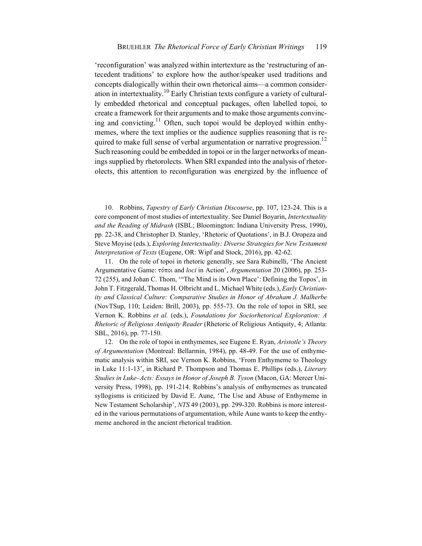'reconfiguration' was analyzed within intertexture as the 'restructuring of antecedent traditions' to explore how the author/speaker used traditions and concepts dialogically within their own rhetorical aims—a common consideration in intertextuality.<sup>10</sup> Early Christian texts configure a variety of culturally embedded rhetorical and conceptual packages, often labelled topoi, to create a framework for their arguments and to make those arguments convincing and convicting.<sup>11</sup> Often, such topoi would be deployed within enthymemes, where the text implies or the audience supplies reasoning that is required to make full sense of verbal argumentation or narrative progression.<sup>12</sup> Such reasoning could be embedded in topoi or in the larger networks of meanings supplied by rhetorolects. When SRI expanded into the analysis of rhetorolects, this attention to reconfiguration was energized by the influence of

10. Robbins, *Tapestry of Early Christian Discourse*, pp. 107, 123-24. This is a core component of most studies of intertextuality. See Daniel Boyarin, *Intertextuality and the Reading of Midrash* (ISBL; Bloomington: Indiana University Press, 1990), pp. 22-38, and Christopher D. Stanley, 'Rhetoric of Quotations', in B.J. Oropeza and Steve Moyise (eds.), *Exploring Intertextuality: Diverse Strategies for New Testament Interpretation of Texts* (Eugene, OR: Wipf and Stock, 2016), pp. 42-62.

11. On the role of topoi in rhetoric generally, see Sara Rubinelli, 'The Ancient Argumentative Game: τόποι and *loci* in Action', *Argumentation* 20 (2006), pp. 253- 72 (255), and Johan C. Thom, '"The Mind is its Own Place': Defining the Topos', in John T. Fitzgerald, Thomas H. Olbricht and L. Michael White (eds.), *Early Christianity and Classical Culture: Comparative Studies in Honor of Abraham J. Malherbe* (NovTSup, 110; Leiden: Brill, 2003), pp. 555-73. On the role of topoi in SRI, see Vernon K. Robbins *et al.* (eds.), *Foundations for Sociorhetorical Exploration: A Rhetoric of Religious Antiquity Reader* (Rhetoric of Religious Antiquity, 4; Atlanta: SBL, 2016), pp. 77-150.

12. On the role of topoi in enthymemes, see Eugene E. Ryan, *Aristotle's Theory of Argumentation* (Montreal: Bellarmin, 1984), pp. 48-49. For the use of enthymematic analysis within SRI, see Vernon K. Robbins, 'From Enthymeme to Theology in Luke 11:1-13', in Richard P. Thompson and Thomas E. Phillips (eds.), *Literary Studies in Luke–Acts: Essays in Honor of Joseph B. Tyson* (Macon, GA: Mercer University Press, 1998), pp. 191-214. Robbins's analysis of enthymemes as truncated syllogisms is criticized by David E. Aune, 'The Use and Abuse of Enthymeme in New Testament Scholarship', *NTS* 49 (2003), pp. 299-320. Robbins is more interested in the various permutations of argumentation, while Aune wants to keep the enthymeme anchored in the ancient rhetorical tradition.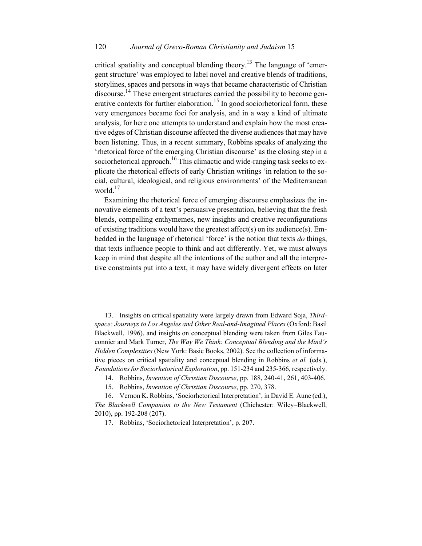critical spatiality and conceptual blending theory.<sup>13</sup> The language of 'emergent structure' was employed to label novel and creative blends of traditions, storylines, spaces and persons in ways that became characteristic of Christian discourse.<sup>14</sup> These emergent structures carried the possibility to become generative contexts for further elaboration.<sup>15</sup> In good sociorhetorical form, these very emergences became foci for analysis, and in a way a kind of ultimate analysis, for here one attempts to understand and explain how the most creative edges of Christian discourse affected the diverse audiences that may have been listening. Thus, in a recent summary, Robbins speaks of analyzing the 'rhetorical force of the emerging Christian discourse' as the closing step in a sociorhetorical approach.<sup>16</sup> This climactic and wide-ranging task seeks to explicate the rhetorical effects of early Christian writings 'in relation to the social, cultural, ideological, and religious environments' of the Mediterranean world.<sup>17</sup>

Examining the rhetorical force of emerging discourse emphasizes the innovative elements of a text's persuasive presentation, believing that the fresh blends, compelling enthymemes, new insights and creative reconfigurations of existing traditions would have the greatest affect(s) on its audience(s). Embedded in the language of rhetorical 'force' is the notion that texts *do* things, that texts influence people to think and act differently. Yet, we must always keep in mind that despite all the intentions of the author and all the interpretive constraints put into a text, it may have widely divergent effects on later

13. Insights on critical spatiality were largely drawn from Edward Soja, *Thirdspace: Journeys to Los Angeles and Other Real-and-Imagined Places* (Oxford: Basil Blackwell, 1996), and insights on conceptual blending were taken from Giles Fauconnier and Mark Turner, *The Way We Think: Conceptual Blending and the Mind's Hidden Complexities* (New York: Basic Books, 2002). See the collection of informative pieces on critical spatiality and conceptual blending in Robbins *et al.* (eds.), *Foundations for Sociorhetorical Exploration*, pp. 151-234 and 235-366, respectively.

14. Robbins, *Invention of Christian Discourse*, pp. 188, 240-41, 261, 403-406.

15. Robbins, *Invention of Christian Discourse*, pp. 270, 378.

16. Vernon K. Robbins, 'Sociorhetorical Interpretation', in David E. Aune (ed.), *The Blackwell Companion to the New Testament* (Chichester: Wiley–Blackwell, 2010), pp. 192-208 (207).

17. Robbins, 'Sociorhetorical Interpretation', p. 207.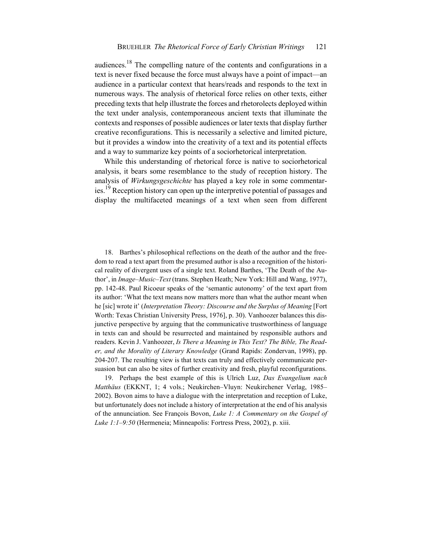audiences.18 The compelling nature of the contents and configurations in a text is never fixed because the force must always have a point of impact—an audience in a particular context that hears/reads and responds to the text in numerous ways. The analysis of rhetorical force relies on other texts, either preceding texts that help illustrate the forces and rhetorolects deployed within the text under analysis, contemporaneous ancient texts that illuminate the contexts and responses of possible audiences or later texts that display further creative reconfigurations. This is necessarily a selective and limited picture, but it provides a window into the creativity of a text and its potential effects and a way to summarize key points of a sociorhetorical interpretation.

While this understanding of rhetorical force is native to sociorhetorical analysis, it bears some resemblance to the study of reception history. The analysis of *Wirkungsgeschichte* has played a key role in some commentaries.19 Reception history can open up the interpretive potential of passages and display the multifaceted meanings of a text when seen from different

18. Barthes's philosophical reflections on the death of the author and the freedom to read a text apart from the presumed author is also a recognition of the historical reality of divergent uses of a single text. Roland Barthes, 'The Death of the Author', in *Image–Music–Text* (trans. Stephen Heath; New York: Hill and Wang, 1977), pp. 142-48. Paul Ricoeur speaks of the 'semantic autonomy' of the text apart from its author: 'What the text means now matters more than what the author meant when he [sic] wrote it' (*Interpretation Theory: Discourse and the Surplus of Meaning* [Fort Worth: Texas Christian University Press, 1976], p. 30). Vanhoozer balances this disjunctive perspective by arguing that the communicative trustworthiness of language in texts can and should be resurrected and maintained by responsible authors and readers. Kevin J. Vanhoozer, *Is There a Meaning in This Text? The Bible, The Reader, and the Morality of Literary Knowledge* (Grand Rapids: Zondervan, 1998), pp. 204-207. The resulting view is that texts can truly and effectively communicate persuasion but can also be sites of further creativity and fresh, playful reconfigurations.

19. Perhaps the best example of this is Ulrich Luz, *Das Evangelium nach Matthäus* (EKKNT, 1; 4 vols.; Neukirchen–Vluyn: Neukirchener Verlag, 1985– 2002). Bovon aims to have a dialogue with the interpretation and reception of Luke, but unfortunately does not include a history of interpretation at the end of his analysis of the annunciation. See François Bovon, *Luke 1: A Commentary on the Gospel of Luke 1:1–9:50* (Hermeneia; Minneapolis: Fortress Press, 2002), p. xiii.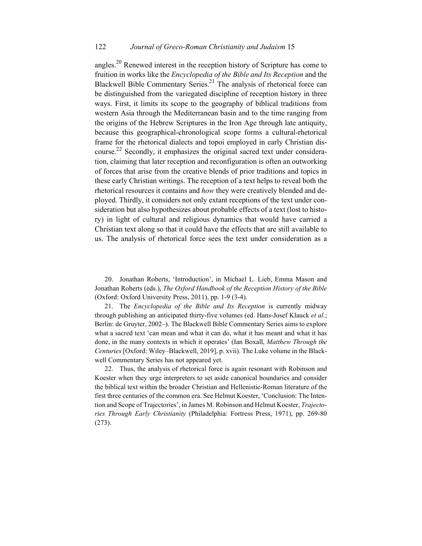angles.<sup>20</sup> Renewed interest in the reception history of Scripture has come to fruition in works like the *Encyclopedia of the Bible and Its Reception* and the Blackwell Bible Commentary Series.<sup>21</sup> The analysis of rhetorical force can be distinguished from the variegated discipline of reception history in three ways. First, it limits its scope to the geography of biblical traditions from western Asia through the Mediterranean basin and to the time ranging from the origins of the Hebrew Scriptures in the Iron Age through late antiquity, because this geographical-chronological scope forms a cultural-rhetorical frame for the rhetorical dialects and topoi employed in early Christian discourse.<sup>22</sup> Secondly, it emphasizes the original sacred text under consideration, claiming that later reception and reconfiguration is often an outworking of forces that arise from the creative blends of prior traditions and topics in these early Christian writings. The reception of a text helps to reveal both the rhetorical resources it contains and *how* they were creatively blended and deployed. Thirdly, it considers not only extant receptions of the text under consideration but also hypothesizes about probable effects of a text (lost to history) in light of cultural and religious dynamics that would have carried a Christian text along so that it could have the effects that are still available to us. The analysis of rhetorical force sees the text under consideration as a

20. Jonathan Roberts, 'Introduction', in Michael L. Lieb, Emma Mason and Jonathan Roberts (eds.), *The Oxford Handbook of the Reception History of the Bible* (Oxford: Oxford University Press, 2011), pp. 1-9 (3-4).

21. The *Encyclopedia of the Bible and Its Reception* is currently midway through publishing an anticipated thirty-five volumes (ed. Hans-Josef Klauck *et al.*; Berlin: de Gruyter, 2002–). The Blackwell Bible Commentary Series aims to explore what a sacred text 'can mean and what it can do, what it has meant and what it has done, in the many contexts in which it operates' (Ian Boxall, *Matthew Through the Centuries* [Oxford: Wiley–Blackwell, 2019], p. xvii). The Luke volume in the Blackwell Commentary Series has not appeared yet.

22. Thus, the analysis of rhetorical force is again resonant with Robinson and Koester when they urge interpreters to set aside canonical boundaries and consider the biblical text within the broader Christian and Hellenistic-Roman literature of the first three centuries of the common era. See Helmut Koester, 'Conclusion: The Intention and Scope of Trajectories', in James M. Robinson and Helmut Koester, *Trajectories Through Early Christianity* (Philadelphia: Fortress Press, 1971), pp. 269-80 (273).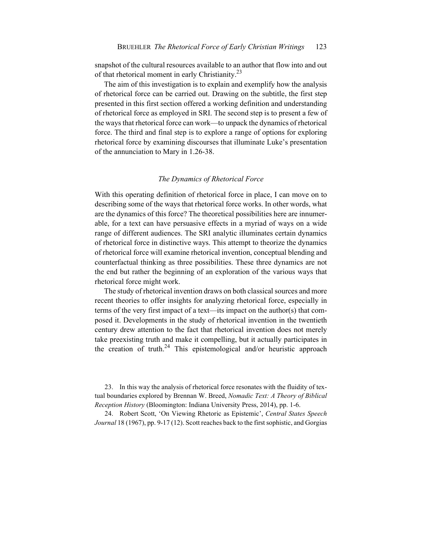snapshot of the cultural resources available to an author that flow into and out of that rhetorical moment in early Christianity.<sup>23</sup>

The aim of this investigation is to explain and exemplify how the analysis of rhetorical force can be carried out. Drawing on the subtitle, the first step presented in this first section offered a working definition and understanding of rhetorical force as employed in SRI. The second step is to present a few of the ways that rhetorical force can work—to unpack the dynamics of rhetorical force. The third and final step is to explore a range of options for exploring rhetorical force by examining discourses that illuminate Luke's presentation of the annunciation to Mary in 1.26-38.

#### *The Dynamics of Rhetorical Force*

With this operating definition of rhetorical force in place, I can move on to describing some of the ways that rhetorical force works. In other words, what are the dynamics of this force? The theoretical possibilities here are innumerable, for a text can have persuasive effects in a myriad of ways on a wide range of different audiences. The SRI analytic illuminates certain dynamics of rhetorical force in distinctive ways. This attempt to theorize the dynamics of rhetorical force will examine rhetorical invention, conceptual blending and counterfactual thinking as three possibilities. These three dynamics are not the end but rather the beginning of an exploration of the various ways that rhetorical force might work.

The study of rhetorical invention draws on both classical sources and more recent theories to offer insights for analyzing rhetorical force, especially in terms of the very first impact of a text—its impact on the author(s) that composed it. Developments in the study of rhetorical invention in the twentieth century drew attention to the fact that rhetorical invention does not merely take preexisting truth and make it compelling, but it actually participates in the creation of truth.<sup>24</sup> This epistemological and/or heuristic approach

23. In this way the analysis of rhetorical force resonates with the fluidity of textual boundaries explored by Brennan W. Breed, *Nomadic Text: A Theory of Biblical Reception History* (Bloomington: Indiana University Press, 2014), pp. 1-6.

24. Robert Scott, 'On Viewing Rhetoric as Epistemic', *Central States Speech Journal* 18 (1967), pp. 9-17 (12). Scott reaches back to the first sophistic, and Gorgias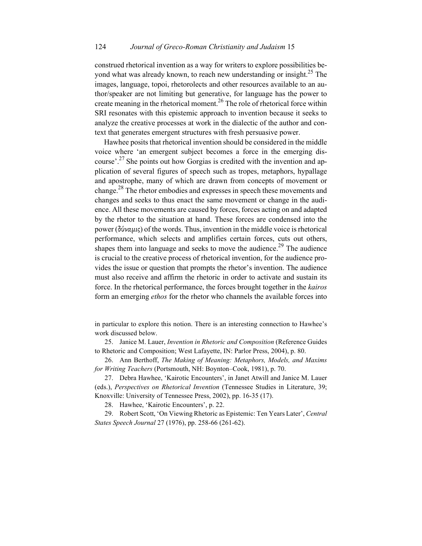construed rhetorical invention as a way for writers to explore possibilities beyond what was already known, to reach new understanding or insight.<sup>25</sup> The images, language, topoi, rhetorolects and other resources available to an author/speaker are not limiting but generative, for language has the power to create meaning in the rhetorical moment.<sup>26</sup> The role of rhetorical force within SRI resonates with this epistemic approach to invention because it seeks to analyze the creative processes at work in the dialectic of the author and context that generates emergent structures with fresh persuasive power.

Hawhee posits that rhetorical invention should be considered in the middle voice where 'an emergent subject becomes a force in the emerging discourse'.<sup>27</sup> She points out how Gorgias is credited with the invention and application of several figures of speech such as tropes, metaphors, hypallage and apostrophe, many of which are drawn from concepts of movement or change.28 The rhetor embodies and expresses in speech these movements and changes and seeks to thus enact the same movement or change in the audience. All these movements are caused by forces, forces acting on and adapted by the rhetor to the situation at hand. These forces are condensed into the power (δύναμις) of the words. Thus, invention in the middle voice is rhetorical performance, which selects and amplifies certain forces, cuts out others, shapes them into language and seeks to move the audience.<sup>29</sup> The audience is crucial to the creative process of rhetorical invention, for the audience provides the issue or question that prompts the rhetor's invention. The audience must also receive and affirm the rhetoric in order to activate and sustain its force. In the rhetorical performance, the forces brought together in the *kairos* form an emerging *ethos* for the rhetor who channels the available forces into

in particular to explore this notion. There is an interesting connection to Hawhee's work discussed below.

25. Janice M. Lauer, *Invention in Rhetoric and Composition* (Reference Guides to Rhetoric and Composition; West Lafayette, IN: Parlor Press, 2004), p. 80.

26. Ann Berthoff, *The Making of Meaning: Metaphors, Models, and Maxims for Writing Teachers* (Portsmouth, NH: Boynton–Cook, 1981), p. 70.

27. Debra Hawhee, 'Kairotic Encounters', in Janet Atwill and Janice M. Lauer (eds.), *Perspectives on Rhetorical Invention* (Tennessee Studies in Literature, 39; Knoxville: University of Tennessee Press, 2002), pp. 16-35 (17).

28. Hawhee, 'Kairotic Encounters', p. 22.

29. Robert Scott, 'On Viewing Rhetoric as Epistemic: Ten Years Later', *Central States Speech Journal* 27 (1976), pp. 258-66 (261-62).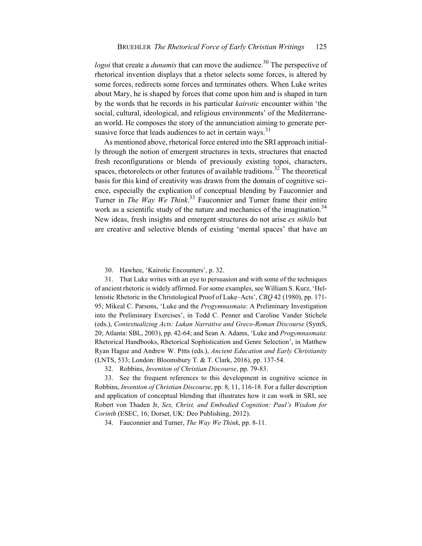*logoi* that create a *dunamis* that can move the audience.<sup>30</sup> The perspective of rhetorical invention displays that a rhetor selects some forces, is altered by some forces, redirects some forces and terminates others. When Luke writes about Mary, he is shaped by forces that come upon him and is shaped in turn by the words that he records in his particular *kairotic* encounter within 'the social, cultural, ideological, and religious environments' of the Mediterranean world. He composes the story of the annunciation aiming to generate persuasive force that leads audiences to act in certain ways. $31$ 

As mentioned above, rhetorical force entered into the SRI approach initially through the notion of emergent structures in texts, structures that enacted fresh reconfigurations or blends of previously existing topoi, characters, spaces, rhetorolects or other features of available traditions.<sup>32</sup> The theoretical basis for this kind of creativity was drawn from the domain of cognitive science, especially the explication of conceptual blending by Fauconnier and Turner in *The Way We Think*. <sup>33</sup> Fauconnier and Turner frame their entire work as a scientific study of the nature and mechanics of the imagination.<sup>34</sup> New ideas, fresh insights and emergent structures do not arise *ex nihilo* but are creative and selective blends of existing 'mental spaces' that have an

30. Hawhee, 'Kairotic Encounters', p. 32.

31. That Luke writes with an eye to persuasion and with some of the techniques of ancient rhetoric is widely affirmed. For some examples, see William S. Kurz, 'Hellenistic Rhetoric in the Christological Proof of Luke–Acts', *CBQ* 42 (1980), pp. 171- 95; Mikeal C. Parsons, 'Luke and the *Progymnasmata*: A Preliminary Investigation into the Preliminary Exercises', in Todd C. Penner and Caroline Vander Stichele (eds.), *Contextualizing Acts: Lukan Narrative and Greco-Roman Discourse* (SymS, 20; Atlanta: SBL, 2003), pp. 42-64; and Sean A. Adams, 'Luke and *Progymnasmata*: Rhetorical Handbooks, Rhetorical Sophistication and Genre Selection', in Matthew Ryan Hague and Andrew W. Pitts (eds.), *Ancient Education and Early Christianity* (LNTS, 533; London: Bloomsbury T. & T. Clark, 2016), pp. 137-54.

32. Robbins, *Invention of Christian Discourse*, pp. 79-83.

33. See the frequent references to this development in cognitive science in Robbins, *Invention of Christian Discourse*, pp. 8, 11, 116-18. For a fuller description and application of conceptual blending that illustrates how it can work in SRI, see Robert von Thaden Jr, *Sex, Christ, and Embodied Cognition: Paul's Wisdom for Corinth* (ESEC, 16; Dorset, UK: Deo Publishing, 2012).

34. Fauconnier and Turner, *The Way We Think*, pp. 8-11.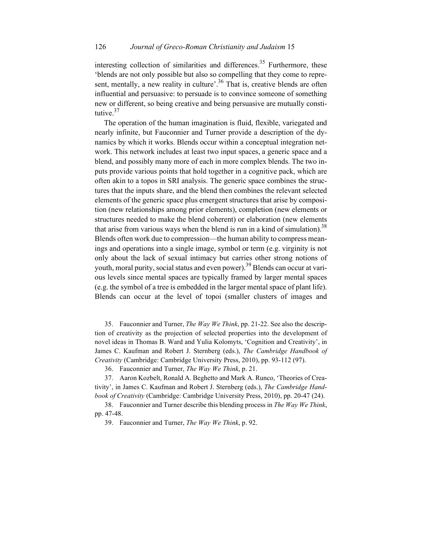#### 126 *Journal of Greco-Roman Christianity and Judaism* 15

interesting collection of similarities and differences.<sup>35</sup> Furthermore, these 'blends are not only possible but also so compelling that they come to represent, mentally, a new reality in culture'.<sup>36</sup> That is, creative blends are often influential and persuasive: to persuade is to convince someone of something new or different, so being creative and being persuasive are mutually constitutive.<sup>37</sup>

The operation of the human imagination is fluid, flexible, variegated and nearly infinite, but Fauconnier and Turner provide a description of the dynamics by which it works. Blends occur within a conceptual integration network. This network includes at least two input spaces, a generic space and a blend, and possibly many more of each in more complex blends. The two inputs provide various points that hold together in a cognitive pack, which are often akin to a topos in SRI analysis. The generic space combines the structures that the inputs share, and the blend then combines the relevant selected elements of the generic space plus emergent structures that arise by composition (new relationships among prior elements), completion (new elements or structures needed to make the blend coherent) or elaboration (new elements that arise from various ways when the blend is run in a kind of simulation).<sup>38</sup> Blends often work due to compression—the human ability to compress meanings and operations into a single image, symbol or term (e.g. virginity is not only about the lack of sexual intimacy but carries other strong notions of youth, moral purity, social status and even power).<sup>39</sup> Blends can occur at various levels since mental spaces are typically framed by larger mental spaces (e.g. the symbol of a tree is embedded in the larger mental space of plant life). Blends can occur at the level of topoi (smaller clusters of images and

35. Fauconnier and Turner, *The Way We Think*, pp. 21-22. See also the description of creativity as the projection of selected properties into the development of novel ideas in Thomas B. Ward and Yulia Kolomyts, 'Cognition and Creativity', in James C. Kaufman and Robert J. Sternberg (eds.), *The Cambridge Handbook of Creativity* (Cambridge: Cambridge University Press, 2010), pp. 93-112 (97).

36. Fauconnier and Turner, *The Way We Think*, p. 21.

37. Aaron Kozbelt, Ronald A. Beghetto and Mark A. Runco, 'Theories of Creativity', in James C. Kaufman and Robert J. Sternberg (eds.), *The Cambridge Handbook of Creativity* (Cambridge: Cambridge University Press, 2010), pp. 20-47 (24).

38. Fauconnier and Turner describe this blending process in *The Way We Think*, pp. 47-48.

39. Fauconnier and Turner, *The Way We Think*, p. 92.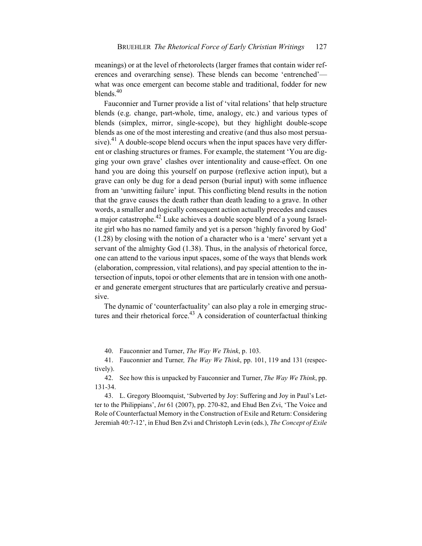meanings) or at the level of rhetorolects (larger frames that contain wider references and overarching sense). These blends can become 'entrenched' what was once emergent can become stable and traditional, fodder for new blends. $40$ 

Fauconnier and Turner provide a list of 'vital relations' that help structure blends (e.g. change, part-whole, time, analogy, etc.) and various types of blends (simplex, mirror, single-scope), but they highlight double-scope blends as one of the most interesting and creative (and thus also most persuasive).<sup>41</sup> A double-scope blend occurs when the input spaces have very different or clashing structures or frames. For example, the statement 'You are digging your own grave' clashes over intentionality and cause-effect. On one hand you are doing this yourself on purpose (reflexive action input), but a grave can only be dug for a dead person (burial input) with some influence from an 'unwitting failure' input. This conflicting blend results in the notion that the grave causes the death rather than death leading to a grave. In other words, a smaller and logically consequent action actually precedes and causes a major catastrophe.<sup>42</sup> Luke achieves a double scope blend of a young Israelite girl who has no named family and yet is a person 'highly favored by God' (1.28) by closing with the notion of a character who is a 'mere' servant yet a servant of the almighty God (1.38). Thus, in the analysis of rhetorical force, one can attend to the various input spaces, some of the ways that blends work (elaboration, compression, vital relations), and pay special attention to the intersection of inputs, topoi or other elements that are in tension with one another and generate emergent structures that are particularly creative and persuasive.

The dynamic of 'counterfactuality' can also play a role in emerging structures and their rhetorical force.<sup>43</sup> A consideration of counterfactual thinking

40. Fauconnier and Turner, *The Way We Think*, p. 103.

41. Fauconnier and Turner*, The Way We Think*, pp. 101, 119 and 131 (respectively).

42. See how this is unpacked by Fauconnier and Turner, *The Way We Think*, pp. 131-34.

43. L. Gregory Bloomquist, 'Subverted by Joy: Suffering and Joy in Paul's Letter to the Philippians', *Int* 61 (2007), pp. 270-82, and Ehud Ben Zvi, 'The Voice and Role of Counterfactual Memory in the Construction of Exile and Return: Considering Jeremiah 40:7-12', in Ehud Ben Zvi and Christoph Levin (eds.), *The Concept of Exile*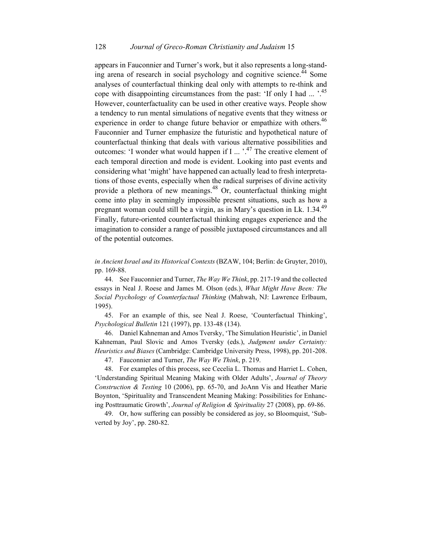appears in Fauconnier and Turner's work, but it also represents a long-standing arena of research in social psychology and cognitive science.<sup>44</sup> Some analyses of counterfactual thinking deal only with attempts to re-think and cope with disappointing circumstances from the past: 'If only I had ...  $\cdot$ <sup>45</sup> However, counterfactuality can be used in other creative ways. People show a tendency to run mental simulations of negative events that they witness or experience in order to change future behavior or empathize with others.<sup>46</sup> Fauconnier and Turner emphasize the futuristic and hypothetical nature of counterfactual thinking that deals with various alternative possibilities and outcomes: 'I wonder what would happen if I  $\ldots$ ,  $\cdot$ <sup>47</sup> The creative element of each temporal direction and mode is evident. Looking into past events and considering what 'might' have happened can actually lead to fresh interpretations of those events, especially when the radical surprises of divine activity provide a plethora of new meanings.<sup>48</sup> Or, counterfactual thinking might come into play in seemingly impossible present situations, such as how a pregnant woman could still be a virgin, as in Mary's question in Lk. 1.34.<sup>49</sup> Finally, future-oriented counterfactual thinking engages experience and the imagination to consider a range of possible juxtaposed circumstances and all of the potential outcomes.

*in Ancient Israel and its Historical Contexts* (BZAW, 104; Berlin: de Gruyter, 2010), pp. 169-88.

44. See Fauconnier and Turner, *The Way We Think*, pp. 217-19 and the collected essays in Neal J. Roese and James M. Olson (eds.), *What Might Have Been: The Social Psychology of Counterfactual Thinking* (Mahwah, NJ: Lawrence Erlbaum, 1995).

45. For an example of this, see Neal J. Roese, 'Counterfactual Thinking', *Psychological Bulletin* 121 (1997), pp. 133-48 (134).

46. Daniel Kahneman and Amos Tversky, 'The Simulation Heuristic', in Daniel Kahneman, Paul Slovic and Amos Tversky (eds.), *Judgment under Certainty: Heuristics and Biases* (Cambridge: Cambridge University Press, 1998), pp. 201-208.

47. Fauconnier and Turner, *The Way We Think*, p. 219.

48. For examples of this process, see Cecelia L. Thomas and Harriet L. Cohen, 'Understanding Spiritual Meaning Making with Older Adults', *Journal of Theory Construction & Testing* 10 (2006), pp. 65-70, and JoAnn Vis and Heather Marie Boynton, 'Spirituality and Transcendent Meaning Making: Possibilities for Enhancing Posttraumatic Growth', *Journal of Religion & Spirituality* 27 (2008), pp. 69-86.

49. Or, how suffering can possibly be considered as joy, so Bloomquist, 'Subverted by Joy', pp. 280-82.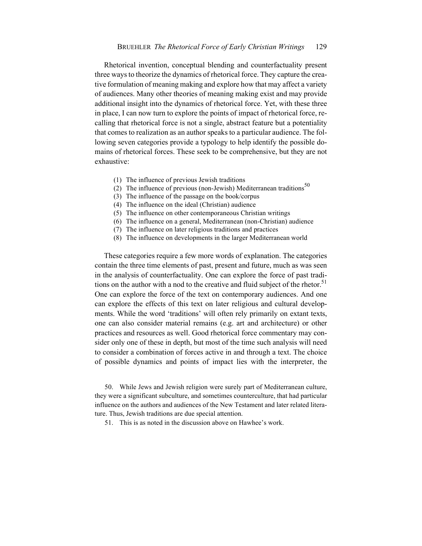Rhetorical invention, conceptual blending and counterfactuality present three ways to theorize the dynamics of rhetorical force. They capture the creative formulation of meaning making and explore how that may affect a variety of audiences. Many other theories of meaning making exist and may provide additional insight into the dynamics of rhetorical force. Yet, with these three in place, I can now turn to explore the points of impact of rhetorical force, recalling that rhetorical force is not a single, abstract feature but a potentiality that comes to realization as an author speaks to a particular audience. The following seven categories provide a typology to help identify the possible domains of rhetorical forces. These seek to be comprehensive, but they are not exhaustive:

- (1) The influence of previous Jewish traditions
- (2) The influence of previous (non-Jewish) Mediterranean traditions<sup>50</sup>
- (3) The influence of the passage on the book/corpus
- (4) The influence on the ideal (Christian) audience
- (5) The influence on other contemporaneous Christian writings
- (6) The influence on a general, Mediterranean (non-Christian) audience
- (7) The influence on later religious traditions and practices
- (8) The influence on developments in the larger Mediterranean world

These categories require a few more words of explanation. The categories contain the three time elements of past, present and future, much as was seen in the analysis of counterfactuality. One can explore the force of past traditions on the author with a nod to the creative and fluid subject of the rhetor.<sup>51</sup> One can explore the force of the text on contemporary audiences. And one can explore the effects of this text on later religious and cultural developments. While the word 'traditions' will often rely primarily on extant texts, one can also consider material remains (e.g. art and architecture) or other practices and resources as well. Good rhetorical force commentary may consider only one of these in depth, but most of the time such analysis will need to consider a combination of forces active in and through a text. The choice of possible dynamics and points of impact lies with the interpreter, the

50. While Jews and Jewish religion were surely part of Mediterranean culture, they were a significant subculture, and sometimes counterculture, that had particular influence on the authors and audiences of the New Testament and later related literature. Thus, Jewish traditions are due special attention.

51. This is as noted in the discussion above on Hawhee's work.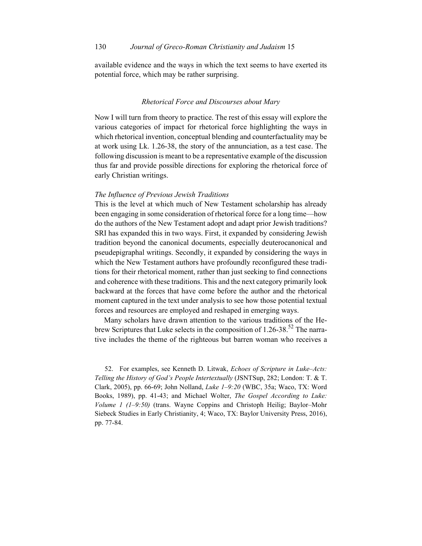available evidence and the ways in which the text seems to have exerted its potential force, which may be rather surprising.

#### *Rhetorical Force and Discourses about Mary*

Now I will turn from theory to practice. The rest of this essay will explore the various categories of impact for rhetorical force highlighting the ways in which rhetorical invention, conceptual blending and counterfactuality may be at work using Lk. 1.26-38, the story of the annunciation, as a test case. The following discussion is meant to be a representative example of the discussion thus far and provide possible directions for exploring the rhetorical force of early Christian writings.

#### *The Influence of Previous Jewish Traditions*

This is the level at which much of New Testament scholarship has already been engaging in some consideration of rhetorical force for a long time—how do the authors of the New Testament adopt and adapt prior Jewish traditions? SRI has expanded this in two ways. First, it expanded by considering Jewish tradition beyond the canonical documents, especially deuterocanonical and pseudepigraphal writings. Secondly, it expanded by considering the ways in which the New Testament authors have profoundly reconfigured these traditions for their rhetorical moment, rather than just seeking to find connections and coherence with these traditions. This and the next category primarily look backward at the forces that have come before the author and the rhetorical moment captured in the text under analysis to see how those potential textual forces and resources are employed and reshaped in emerging ways.

Many scholars have drawn attention to the various traditions of the Hebrew Scriptures that Luke selects in the composition of  $1.26$ -38.<sup>52</sup> The narrative includes the theme of the righteous but barren woman who receives a

52. For examples, see Kenneth D. Litwak, *Echoes of Scripture in Luke–Acts: Telling the History of God's People Intertextually* (JSNTSup, 282; London: T. & T. Clark, 2005), pp. 66-69; John Nolland, *Luke 1–9:20* (WBC, 35a; Waco, TX: Word Books, 1989), pp. 41-43; and Michael Wolter, *The Gospel According to Luke: Volume 1 (1–9:50)* (trans. Wayne Coppins and Christoph Heilig; Baylor–Mohr Siebeck Studies in Early Christianity, 4; Waco, TX: Baylor University Press, 2016), pp. 77-84.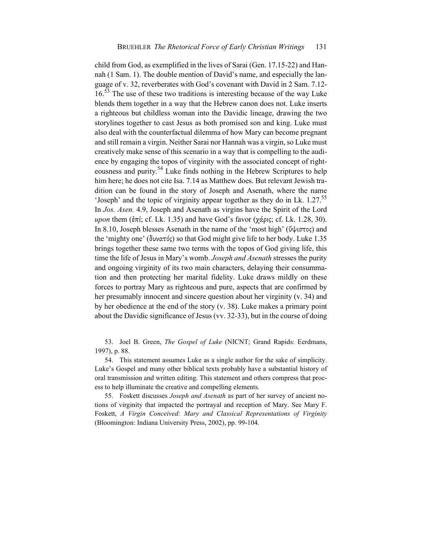child from God, as exemplified in the lives of Sarai (Gen. 17.15-22) and Hannah (1 Sam. 1). The double mention of David's name, and especially the language of v. 32, reverberates with God's covenant with David in 2 Sam. 7.12-  $16<sup>53</sup>$  The use of these two traditions is interesting because of the way Luke blends them together in a way that the Hebrew canon does not. Luke inserts a righteous but childless woman into the Davidic lineage, drawing the two storylines together to cast Jesus as both promised son and king. Luke must also deal with the counterfactual dilemma of how Mary can become pregnant and still remain a virgin. Neither Sarai nor Hannah was a virgin, so Luke must creatively make sense of this scenario in a way that is compelling to the audience by engaging the topos of virginity with the associated concept of righteousness and purity.<sup>54</sup> Luke finds nothing in the Hebrew Scriptures to help him here; he does not cite Isa. 7.14 as Matthew does. But relevant Jewish tradition can be found in the story of Joseph and Asenath, where the name 'Joseph' and the topic of virginity appear together as they do in Lk. 1.27.<sup>55</sup> In *Jos. Asen.* 4.9, Joseph and Asenath as virgins have the Spirit of the Lord *upon* them (ἐπί; cf. Lk. 1.35) and have God's favor (χάρις; cf. Lk. 1.28, 30). In 8.10, Joseph blesses Asenath in the name of the 'most high' (ὕψιστος) and the 'mighty one' (δυνατός) so that God might give life to her body. Luke 1.35 brings together these same two terms with the topos of God giving life, this time the life of Jesus in Mary's womb. *Joseph and Asenath* stresses the purity and ongoing virginity of its two main characters, delaying their consummation and then protecting her marital fidelity. Luke draws mildly on these forces to portray Mary as righteous and pure, aspects that are confirmed by her presumably innocent and sincere question about her virginity (v. 34) and by her obedience at the end of the story (v. 38). Luke makes a primary point about the Davidic significance of Jesus (vv. 32-33), but in the course of doing

53. Joel B. Green, *The Gospel of Luke* (NICNT; Grand Rapids: Eerdmans, 1997), p. 88.

54. This statement assumes Luke as a single author for the sake of simplicity. Luke's Gospel and many other biblical texts probably have a substantial history of oral transmission and written editing. This statement and others compress that process to help illuminate the creative and compelling elements.

55. Foskett discusses *Joseph and Asenath* as part of her survey of ancient notions of virginity that impacted the portrayal and reception of Mary. See Mary F. Foskett, *A Virgin Conceived: Mary and Classical Representations of Virginity* (Bloomington: Indiana University Press, 2002), pp. 99-104.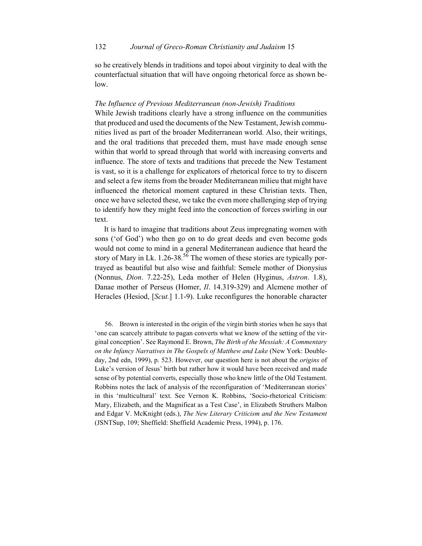so he creatively blends in traditions and topoi about virginity to deal with the counterfactual situation that will have ongoing rhetorical force as shown below.

#### *The Influence of Previous Mediterranean (non-Jewish) Traditions*

While Jewish traditions clearly have a strong influence on the communities that produced and used the documents of the New Testament, Jewish communities lived as part of the broader Mediterranean world. Also, their writings, and the oral traditions that preceded them, must have made enough sense within that world to spread through that world with increasing converts and influence. The store of texts and traditions that precede the New Testament is vast, so it is a challenge for explicators of rhetorical force to try to discern and select a few items from the broader Mediterranean milieu that might have influenced the rhetorical moment captured in these Christian texts. Then, once we have selected these, we take the even more challenging step of trying to identify how they might feed into the concoction of forces swirling in our text.

It is hard to imagine that traditions about Zeus impregnating women with sons ('of God') who then go on to do great deeds and even become gods would not come to mind in a general Mediterranean audience that heard the story of Mary in Lk.  $1.26-38^{56}$  The women of these stories are typically portrayed as beautiful but also wise and faithful: Semele mother of Dionysius (Nonnus, *Dion*. 7.22-25), Leda mother of Helen (Hyginus, *Astron*. 1.8), Danae mother of Perseus (Homer, *Il*. 14.319-329) and Alcmene mother of Heracles (Hesiod, [*Scut.*] 1.1-9). Luke reconfigures the honorable character

56. Brown is interested in the origin of the virgin birth stories when he says that 'one can scarcely attribute to pagan converts what we know of the setting of the virginal conception'. See Raymond E. Brown, *The Birth of the Messiah: A Commentary on the Infancy Narratives in The Gospels of Matthew and Luke* (New York: Doubleday, 2nd edn, 1999), p. 523. However, our question here is not about the *origins* of Luke's version of Jesus' birth but rather how it would have been received and made sense of by potential converts, especially those who knew little of the Old Testament. Robbins notes the lack of analysis of the reconfiguration of 'Mediterranean stories' in this 'multicultural' text. See Vernon K. Robbins, 'Socio-rhetorical Criticism: Mary, Elizabeth, and the Magnificat as a Test Case', in Elizabeth Struthers Malbon and Edgar V. McKnight (eds.), *The New Literary Criticism and the New Testament*  (JSNTSup, 109; Sheffield: Sheffield Academic Press, 1994), p. 176.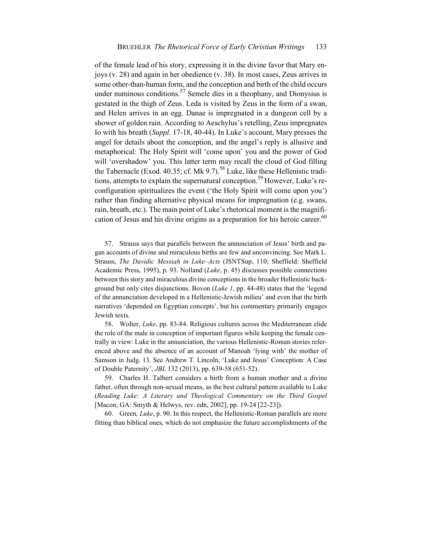of the female lead of his story, expressing it in the divine favor that Mary enjoys (v. 28) and again in her obedience (v. 38). In most cases, Zeus arrives in some other-than-human form, and the conception and birth of the child occurs under numinous conditions.<sup>57</sup> Semele dies in a theophany, and Dionysius is gestated in the thigh of Zeus. Leda is visited by Zeus in the form of a swan, and Helen arrives in an egg. Danae is impregnated in a dungeon cell by a shower of golden rain. According to Aeschylus's retelling, Zeus impregnates Io with his breath (*Suppl*. 17-18, 40-44). In Luke's account, Mary presses the angel for details about the conception, and the angel's reply is allusive and metaphorical: The Holy Spirit will 'come upon' you and the power of God will 'overshadow' you. This latter term may recall the cloud of God filling the Tabernacle (Exod. 40.35; cf. Mk 9.7).<sup>58</sup> Luke, like these Hellenistic traditions, attempts to explain the supernatural conception.<sup>59</sup> However, Luke's reconfiguration spiritualizes the event ('the Holy Spirit will come upon you') rather than finding alternative physical means for impregnation (e.g. swans, rain, breath, etc.). The main point of Luke's rhetorical moment is the magnification of Jesus and his divine origins as a preparation for his heroic career.<sup>60</sup>

57. Strauss says that parallels between the annunciation of Jesus' birth and pagan accounts of divine and miraculous births are few and unconvincing. See Mark L. Strauss, *The Davidic Messiah in Luke–Acts* (JSNTSup, 110; Sheffield: Sheffield Academic Press, 1995), p. 93. Nolland (*Luke*, p. 45) discusses possible connections between this story and miraculous divine conceptions in the broader Hellenistic background but only cites disjunctions. Bovon (*Luke 1*, pp. 44-48) states that the 'legend of the annunciation developed in a Hellenistic-Jewish milieu' and even that the birth narratives 'depended on Egyptian concepts', but his commentary primarily engages Jewish texts.

58. Wolter, *Luke*, pp. 83-84. Religious cultures across the Mediterranean elide the role of the male in conception of important figures while keeping the female centrally in view: Luke in the annunciation, the various Hellenistic-Roman stories referenced above and the absence of an account of Manoah 'lying with' the mother of Samson in Judg. 13. See Andrew T. Lincoln, 'Luke and Jesus' Conception: A Case of Double Paternity', *JBL* 132 (2013), pp. 639-58 (651-52).

59. Charles H. Talbert considers a birth from a human mother and a divine father, often through non-sexual means, as the best cultural pattern available to Luke (*Reading Luke: A Literary and Theological Commentary on the Third Gospel* [Macon, GA: Smyth & Helwys, rev. edn, 2002], pp. 19-24 [22-23]).

60. Green*, Luke*, p. 90. In this respect, the Hellenistic-Roman parallels are more fitting than biblical ones, which do not emphasize the future accomplishments of the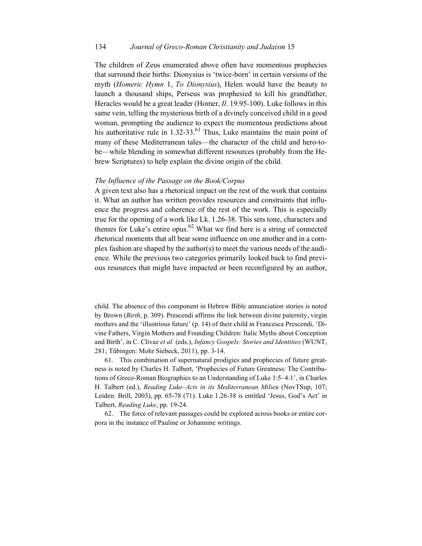#### 134 *Journal of Greco-Roman Christianity and Judaism* 15

The children of Zeus enumerated above often have momentous prophecies that surround their births: Dionysius is 'twice-born' in certain versions of the myth (*Homeric Hymn* 1, *To Dionysius*), Helen would have the beauty to launch a thousand ships, Perseus was prophesied to kill his grandfather, Heracles would be a great leader (Homer, *Il*. 19.95-100). Luke follows in this same vein, telling the mysterious birth of a divinely conceived child in a good woman, prompting the audience to expect the momentous predictions about his authoritative rule in  $1.32-33$ .<sup>61</sup> Thus, Luke maintains the main point of many of these Mediterranean tales—the character of the child and hero-tobe—while blending in somewhat different resources (probably from the Hebrew Scriptures) to help explain the divine origin of the child.

#### *The Influence of the Passage on the Book/Corpus*

A given text also has a rhetorical impact on the rest of the work that contains it. What an author has written provides resources and constraints that influence the progress and coherence of the rest of the work. This is especially true for the opening of a work like Lk. 1.26-38. This sets tone, characters and themes for Luke's entire opus.<sup>62</sup> What we find here is a string of connected rhetorical moments that all bear some influence on one another and in a complex fashion are shaped by the author(s) to meet the various needs of the audience. While the previous two categories primarily looked back to find previous resources that might have impacted or been reconfigured by an author,

child. The absence of this component in Hebrew Bible annunciation stories is noted by Brown (*Birth*, p. 309). Prescendi affirms the link between divine paternity, virgin mothers and the 'illustrious future' (p. 14) of their child in Francesca Prescendi, 'Divine Fathers, Virgin Mothers and Founding Children: Italic Myths about Conception and Birth', in C. Clivaz *et al.* (eds.), *Infancy Gospels: Stories and Identities* (WUNT, 281; Tübingen: Mohr Siebeck, 2011), pp. 3-14.

61. This combination of supernatural prodigies and prophecies of future greatness is noted by Charles H. Talbert, 'Prophecies of Future Greatness: The Contributions of Greco-Roman Biographies to an Understanding of Luke 1:5–4:1', in Charles H. Talbert (ed.), *Reading Luke–Acts in its Mediterranean Milieu* (NovTSup, 107; Leiden: Brill, 2003), pp. 65-78 (71). Luke 1.26-38 is entitled 'Jesus, God's Act' in Talbert, *Reading Luke*, pp. 19-24.

62. The force of relevant passages could be explored across books or entire corpora in the instance of Pauline or Johannine writings.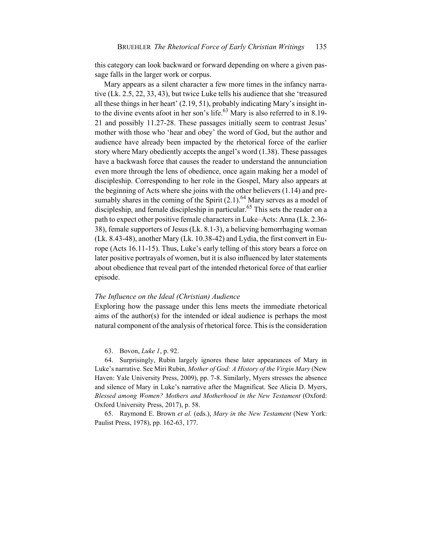this category can look backward or forward depending on where a given passage falls in the larger work or corpus.

Mary appears as a silent character a few more times in the infancy narrative (Lk. 2.5, 22, 33, 43), but twice Luke tells his audience that she 'treasured all these things in her heart' (2.19, 51), probably indicating Mary's insight into the divine events afoot in her son's life.<sup>63</sup> Mary is also referred to in 8.19-21 and possibly 11.27-28. These passages initially seem to contrast Jesus' mother with those who 'hear and obey' the word of God, but the author and audience have already been impacted by the rhetorical force of the earlier story where Mary obediently accepts the angel's word (1.38). These passages have a backwash force that causes the reader to understand the annunciation even more through the lens of obedience, once again making her a model of discipleship. Corresponding to her role in the Gospel, Mary also appears at the beginning of Acts where she joins with the other believers (1.14) and presumably shares in the coming of the Spirit  $(2.1)$ .<sup>64</sup> Mary serves as a model of discipleship, and female discipleship in particular.<sup>65</sup> This sets the reader on a path to expect other positive female characters in Luke–Acts: Anna (Lk. 2.36- 38), female supporters of Jesus (Lk. 8.1-3), a believing hemorrhaging woman (Lk. 8.43-48), another Mary (Lk. 10.38-42) and Lydia, the first convert in Europe (Acts 16.11-15). Thus, Luke's early telling of this story bears a force on later positive portrayals of women, but it is also influenced by later statements about obedience that reveal part of the intended rhetorical force of that earlier episode.

#### *The Influence on the Ideal (Christian) Audience*

Exploring how the passage under this lens meets the immediate rhetorical aims of the author(s) for the intended or ideal audience is perhaps the most natural component of the analysis of rhetorical force. This is the consideration

63. Bovon, *Luke 1*, p. 92.

64. Surprisingly, Rubin largely ignores these later appearances of Mary in Luke's narrative. See Miri Rubin, *Mother of God: A History of the Virgin Mary* (New Haven: Yale University Press, 2009), pp. 7-8. Similarly, Myers stresses the absence and silence of Mary in Luke's narrative after the Magnificat. See Alicia D. Myers, *Blessed among Women? Mothers and Motherhood in the New Testament* (Oxford: Oxford University Press, 2017), p. 58.

65. Raymond E. Brown *et al.* (eds.), *Mary in the New Testament* (New York: Paulist Press, 1978), pp. 162-63, 177.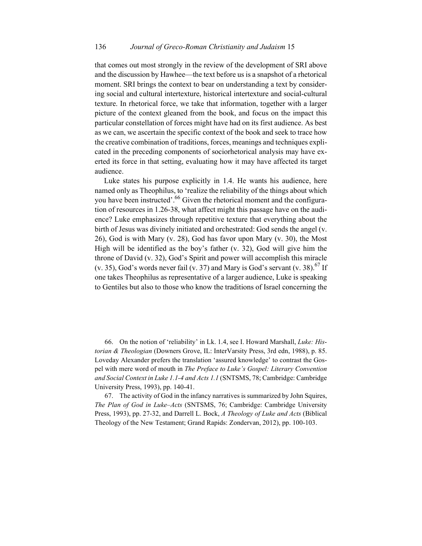that comes out most strongly in the review of the development of SRI above and the discussion by Hawhee—the text before us is a snapshot of a rhetorical moment. SRI brings the context to bear on understanding a text by considering social and cultural intertexture, historical intertexture and social-cultural texture. In rhetorical force, we take that information, together with a larger picture of the context gleaned from the book, and focus on the impact this particular constellation of forces might have had on its first audience. As best as we can, we ascertain the specific context of the book and seek to trace how the creative combination of traditions, forces, meanings and techniques explicated in the preceding components of sociorhetorical analysis may have exerted its force in that setting, evaluating how it may have affected its target audience.

Luke states his purpose explicitly in 1.4. He wants his audience, here named only as Theophilus, to 'realize the reliability of the things about which you have been instructed'.<sup>66</sup> Given the rhetorical moment and the configuration of resources in 1.26-38, what affect might this passage have on the audience? Luke emphasizes through repetitive texture that everything about the birth of Jesus was divinely initiated and orchestrated: God sends the angel (v. 26), God is with Mary (v. 28), God has favor upon Mary (v. 30), the Most High will be identified as the boy's father (v. 32), God will give him the throne of David (v. 32), God's Spirit and power will accomplish this miracle (v. 35), God's words never fail (v. 37) and Mary is God's servant (v. 38).<sup>67</sup> If one takes Theophilus as representative of a larger audience, Luke is speaking to Gentiles but also to those who know the traditions of Israel concerning the

66. On the notion of 'reliability' in Lk. 1.4, see I. Howard Marshall, *Luke: Historian & Theologian* (Downers Grove, IL: InterVarsity Press, 3rd edn, 1988), p. 85. Loveday Alexander prefers the translation 'assured knowledge' to contrast the Gospel with mere word of mouth in *The Preface to Luke's Gospel: Literary Convention and Social Context in Luke 1.1-4 and Acts 1.1* (SNTSMS, 78; Cambridge: Cambridge University Press, 1993), pp. 140-41.

67. The activity of God in the infancy narratives is summarized by John Squires, *The Plan of God in Luke–Acts* (SNTSMS, 76; Cambridge: Cambridge University Press, 1993), pp. 27-32, and Darrell L. Bock, *A Theology of Luke and Acts* (Biblical Theology of the New Testament; Grand Rapids: Zondervan, 2012), pp. 100-103.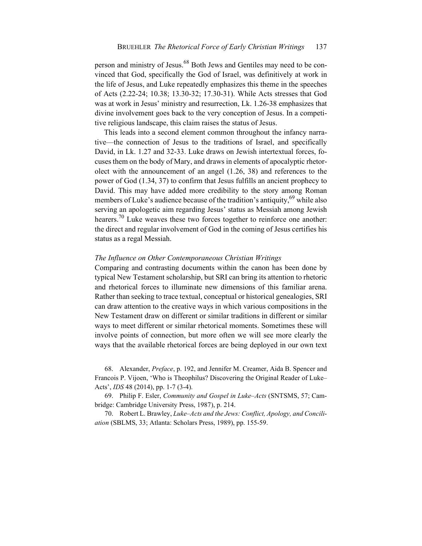person and ministry of Jesus.<sup>68</sup> Both Jews and Gentiles may need to be convinced that God, specifically the God of Israel, was definitively at work in the life of Jesus, and Luke repeatedly emphasizes this theme in the speeches of Acts (2.22-24; 10.38; 13.30-32; 17.30-31). While Acts stresses that God was at work in Jesus' ministry and resurrection, Lk. 1.26-38 emphasizes that divine involvement goes back to the very conception of Jesus. In a competitive religious landscape, this claim raises the status of Jesus.

This leads into a second element common throughout the infancy narrative—the connection of Jesus to the traditions of Israel, and specifically David, in Lk. 1.27 and 32-33. Luke draws on Jewish intertextual forces, focuses them on the body of Mary, and draws in elements of apocalyptic rhetorolect with the announcement of an angel (1.26, 38) and references to the power of God (1.34, 37) to confirm that Jesus fulfills an ancient prophecy to David. This may have added more credibility to the story among Roman members of Luke's audience because of the tradition's antiquity,  $69$  while also serving an apologetic aim regarding Jesus' status as Messiah among Jewish hearers.<sup>70</sup> Luke weaves these two forces together to reinforce one another: the direct and regular involvement of God in the coming of Jesus certifies his status as a regal Messiah.

#### *The Influence on Other Contemporaneous Christian Writings*

Comparing and contrasting documents within the canon has been done by typical New Testament scholarship, but SRI can bring its attention to rhetoric and rhetorical forces to illuminate new dimensions of this familiar arena. Rather than seeking to trace textual, conceptual or historical genealogies, SRI can draw attention to the creative ways in which various compositions in the New Testament draw on different or similar traditions in different or similar ways to meet different or similar rhetorical moments. Sometimes these will involve points of connection, but more often we will see more clearly the ways that the available rhetorical forces are being deployed in our own text

68. Alexander, *Preface*, p. 192, and Jennifer M. Creamer, Aida B. Spencer and Francois P. Vijoen, 'Who is Theophilus? Discovering the Original Reader of Luke– Acts', *IDS* 48 (2014), pp. 1-7 (3-4).

69. Philip F. Esler, *Community and Gospel in Luke–Acts* (SNTSMS, 57; Cambridge: Cambridge University Press, 1987), p. 214.

70. Robert L. Brawley, *Luke–Acts and the Jews: Conflict, Apology, and Conciliation* (SBLMS, 33; Atlanta: Scholars Press, 1989), pp. 155-59.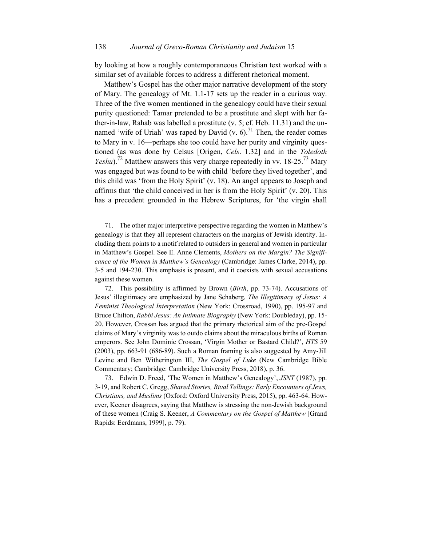by looking at how a roughly contemporaneous Christian text worked with a similar set of available forces to address a different rhetorical moment.

Matthew's Gospel has the other major narrative development of the story of Mary. The genealogy of Mt. 1.1-17 sets up the reader in a curious way. Three of the five women mentioned in the genealogy could have their sexual purity questioned: Tamar pretended to be a prostitute and slept with her father-in-law, Rahab was labelled a prostitute (v. 5; cf. Heb. 11.31) and the unnamed 'wife of Uriah' was raped by David (v. 6).<sup>71</sup> Then, the reader comes to Mary in v. 16—perhaps she too could have her purity and virginity questioned (as was done by Celsus [Origen, *Cels*. 1.32] and in the *Toledoth Yeshu*).<sup>72</sup> Matthew answers this very charge repeatedly in vv. 18-25.<sup>73</sup> Mary was engaged but was found to be with child 'before they lived together', and this child was 'from the Holy Spirit' (v. 18). An angel appears to Joseph and affirms that 'the child conceived in her is from the Holy Spirit' (v. 20). This has a precedent grounded in the Hebrew Scriptures, for 'the virgin shall

71. The other major interpretive perspective regarding the women in Matthew's genealogy is that they all represent characters on the margins of Jewish identity. Including them points to a motif related to outsiders in general and women in particular in Matthew's Gospel. See E. Anne Clements, *Mothers on the Margin? The Significance of the Women in Matthew's Genealogy* (Cambridge: James Clarke, 2014), pp. 3-5 and 194-230. This emphasis is present, and it coexists with sexual accusations against these women.

72. This possibility is affirmed by Brown (*Birth*, pp. 73-74). Accusations of Jesus' illegitimacy are emphasized by Jane Schaberg, *The Illegitimacy of Jesus: A Feminist Theological Interpretation* (New York: Crossroad, 1990), pp. 195-97 and Bruce Chilton, *Rabbi Jesus: An Intimate Biography* (New York: Doubleday), pp. 15- 20. However, Crossan has argued that the primary rhetorical aim of the pre-Gospel claims of Mary's virginity was to outdo claims about the miraculous births of Roman emperors. See John Dominic Crossan, 'Virgin Mother or Bastard Child?', *HTS* 59 (2003), pp. 663-91 (686-89). Such a Roman framing is also suggested by Amy-Jill Levine and Ben Witherington III, *The Gospel of Luke* (New Cambridge Bible Commentary; Cambridge: Cambridge University Press, 2018), p. 36.

73. Edwin D. Freed, 'The Women in Matthew's Genealogy', *JSNT* (1987), pp. 3-19, and Robert C. Gregg, *Shared Stories, Rival Tellings: Early Encounters of Jews, Christians, and Muslims* (Oxford: Oxford University Press, 2015), pp. 463-64. However, Keener disagrees, saying that Matthew is stressing the non-Jewish background of these women (Craig S. Keener, *A Commentary on the Gospel of Matthew* [Grand Rapids: Eerdmans, 1999], p. 79).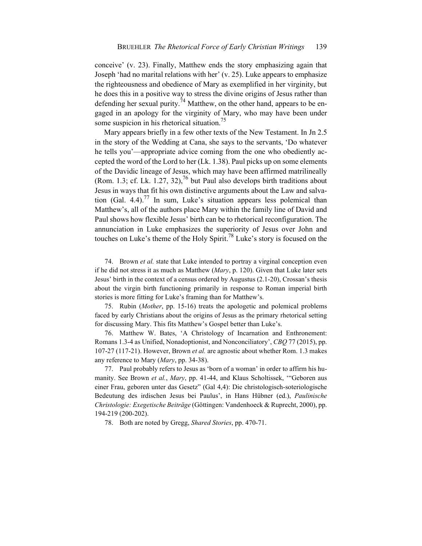conceive' (v. 23). Finally, Matthew ends the story emphasizing again that Joseph 'had no marital relations with her' (v. 25). Luke appears to emphasize the righteousness and obedience of Mary as exemplified in her virginity, but he does this in a positive way to stress the divine origins of Jesus rather than defending her sexual purity.<sup>74</sup> Matthew, on the other hand, appears to be engaged in an apology for the virginity of Mary, who may have been under some suspicion in his rhetorical situation.<sup>75</sup>

Mary appears briefly in a few other texts of the New Testament. In Jn 2.5 in the story of the Wedding at Cana, she says to the servants, 'Do whatever he tells you'—appropriate advice coming from the one who obediently accepted the word of the Lord to her (Lk. 1.38). Paul picks up on some elements of the Davidic lineage of Jesus, which may have been affirmed matrilineally (Rom. 1.3; cf. Lk. 1.27, 32),<sup>76</sup> but Paul also develops birth traditions about Jesus in ways that fit his own distinctive arguments about the Law and salvation (Gal. 4.4).<sup>77</sup> In sum, Luke's situation appears less polemical than Matthew's, all of the authors place Mary within the family line of David and Paul shows how flexible Jesus' birth can be to rhetorical reconfiguration. The annunciation in Luke emphasizes the superiority of Jesus over John and touches on Luke's theme of the Holy Spirit.<sup>78</sup> Luke's story is focused on the

74. Brown *et al.* state that Luke intended to portray a virginal conception even if he did not stress it as much as Matthew (*Mary*, p. 120). Given that Luke later sets Jesus' birth in the context of a census ordered by Augustus (2.1-20), Crossan's thesis about the virgin birth functioning primarily in response to Roman imperial birth stories is more fitting for Luke's framing than for Matthew's.

75. Rubin (*Mother*, pp. 15-16) treats the apologetic and polemical problems faced by early Christians about the origins of Jesus as the primary rhetorical setting for discussing Mary. This fits Matthew's Gospel better than Luke's.

76. Matthew W. Bates, 'A Christology of Incarnation and Enthronement: Romans 1.3-4 as Unified, Nonadoptionist, and Nonconciliatory', *CBQ* 77 (2015), pp. 107-27 (117-21). However, Brown *et al.* are agnostic about whether Rom. 1.3 makes any reference to Mary (*Mary*, pp. 34-38).

77. Paul probably refers to Jesus as 'born of a woman' in order to affirm his humanity. See Brown *et al.*, *Mary*, pp. 41-44, and Klaus Scholtissek, '"Geboren aus einer Frau, geboren unter das Gesetz" (Gal 4,4): Die christologisch-soteriologische Bedeutung des irdischen Jesus bei Paulus', in Hans Hübner (ed.), *Paulinische Christologie: Exegetische Beiträge* (Göttingen: Vandenhoeck & Ruprecht, 2000), pp. 194-219 (200-202).

78. Both are noted by Gregg, *Shared Stories*, pp. 470-71.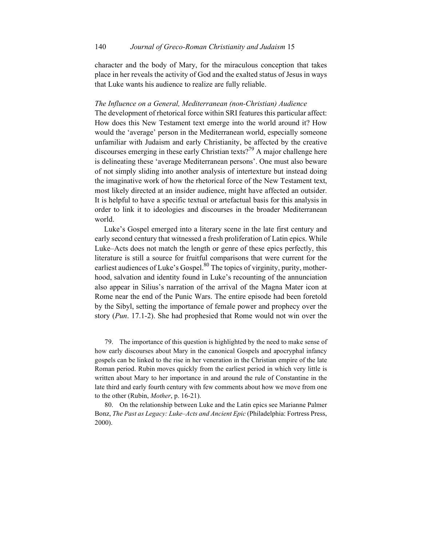character and the body of Mary, for the miraculous conception that takes place in her reveals the activity of God and the exalted status of Jesus in ways that Luke wants his audience to realize are fully reliable.

#### *The Influence on a General, Mediterranean (non-Christian) Audience*

The development of rhetorical force within SRI features this particular affect: How does this New Testament text emerge into the world around it? How would the 'average' person in the Mediterranean world, especially someone unfamiliar with Judaism and early Christianity, be affected by the creative discourses emerging in these early Christian texts?<sup>79</sup> A major challenge here is delineating these 'average Mediterranean persons'. One must also beware of not simply sliding into another analysis of intertexture but instead doing the imaginative work of how the rhetorical force of the New Testament text, most likely directed at an insider audience, might have affected an outsider. It is helpful to have a specific textual or artefactual basis for this analysis in order to link it to ideologies and discourses in the broader Mediterranean world.

Luke's Gospel emerged into a literary scene in the late first century and early second century that witnessed a fresh proliferation of Latin epics. While Luke–Acts does not match the length or genre of these epics perfectly, this literature is still a source for fruitful comparisons that were current for the earliest audiences of Luke's Gospel. $80$  The topics of virginity, purity, motherhood, salvation and identity found in Luke's recounting of the annunciation also appear in Silius's narration of the arrival of the Magna Mater icon at Rome near the end of the Punic Wars. The entire episode had been foretold by the Sibyl, setting the importance of female power and prophecy over the story (*Pun*. 17.1-2). She had prophesied that Rome would not win over the

79. The importance of this question is highlighted by the need to make sense of how early discourses about Mary in the canonical Gospels and apocryphal infancy gospels can be linked to the rise in her veneration in the Christian empire of the late Roman period. Rubin moves quickly from the earliest period in which very little is written about Mary to her importance in and around the rule of Constantine in the late third and early fourth century with few comments about how we move from one to the other (Rubin, *Mother*, p. 16-21).

80. On the relationship between Luke and the Latin epics see Marianne Palmer Bonz, *The Past as Legacy: Luke–Acts and Ancient Epic* (Philadelphia: Fortress Press, 2000).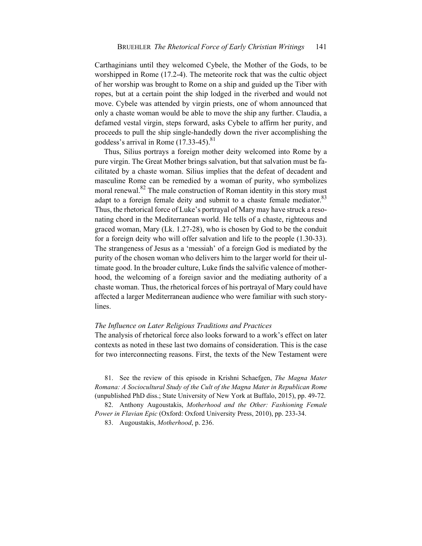Carthaginians until they welcomed Cybele, the Mother of the Gods, to be worshipped in Rome (17.2-4). The meteorite rock that was the cultic object of her worship was brought to Rome on a ship and guided up the Tiber with ropes, but at a certain point the ship lodged in the riverbed and would not move. Cybele was attended by virgin priests, one of whom announced that only a chaste woman would be able to move the ship any further. Claudia, a defamed vestal virgin, steps forward, asks Cybele to affirm her purity, and proceeds to pull the ship single-handedly down the river accomplishing the goddess's arrival in Rome  $(17.33-45).$ <sup>81</sup>

Thus, Silius portrays a foreign mother deity welcomed into Rome by a pure virgin. The Great Mother brings salvation, but that salvation must be facilitated by a chaste woman. Silius implies that the defeat of decadent and masculine Rome can be remedied by a woman of purity, who symbolizes moral renewal. $82$  The male construction of Roman identity in this story must adapt to a foreign female deity and submit to a chaste female mediator.<sup>83</sup> Thus, the rhetorical force of Luke's portrayal of Mary may have struck a resonating chord in the Mediterranean world. He tells of a chaste, righteous and graced woman, Mary (Lk. 1.27-28), who is chosen by God to be the conduit for a foreign deity who will offer salvation and life to the people (1.30-33). The strangeness of Jesus as a 'messiah' of a foreign God is mediated by the purity of the chosen woman who delivers him to the larger world for their ultimate good. In the broader culture, Luke finds the salvific valence of motherhood, the welcoming of a foreign savior and the mediating authority of a chaste woman. Thus, the rhetorical forces of his portrayal of Mary could have affected a larger Mediterranean audience who were familiar with such storylines.

#### *The Influence on Later Religious Traditions and Practices*

The analysis of rhetorical force also looks forward to a work's effect on later contexts as noted in these last two domains of consideration. This is the case for two interconnecting reasons. First, the texts of the New Testament were

81. See the review of this episode in Krishni Schaefgen, *The Magna Mater Romana: A Sociocultural Study of the Cult of the Magna Mater in Republican Rome* (unpublished PhD diss.; State University of New York at Buffalo, 2015), pp. 49-72.

82. Anthony Augoustakis, *Motherhood and the Other: Fashioning Female Power in Flavian Epic* (Oxford: Oxford University Press, 2010), pp. 233-34.

83. Augoustakis, *Motherhood*, p. 236.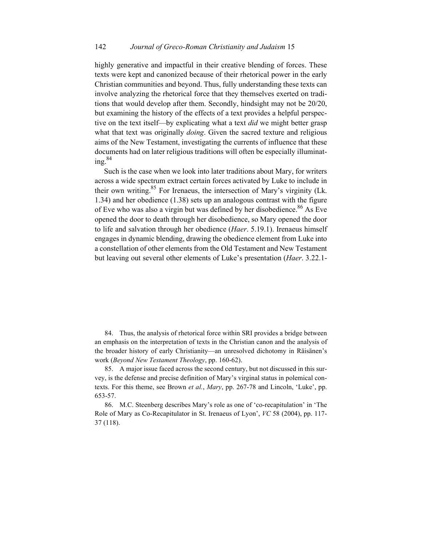highly generative and impactful in their creative blending of forces. These texts were kept and canonized because of their rhetorical power in the early Christian communities and beyond. Thus, fully understanding these texts can involve analyzing the rhetorical force that they themselves exerted on traditions that would develop after them. Secondly, hindsight may not be 20/20, but examining the history of the effects of a text provides a helpful perspective on the text itself—by explicating what a text *did* we might better grasp what that text was originally *doing*. Given the sacred texture and religious aims of the New Testament, investigating the currents of influence that these documents had on later religious traditions will often be especially illuminating.<sup>84</sup>

Such is the case when we look into later traditions about Mary, for writers across a wide spectrum extract certain forces activated by Luke to include in their own writing.<sup>85</sup> For Irenaeus, the intersection of Mary's virginity (Lk. 1.34) and her obedience (1.38) sets up an analogous contrast with the figure of Eve who was also a virgin but was defined by her disobedience.<sup>86</sup> As Eve opened the door to death through her disobedience, so Mary opened the door to life and salvation through her obedience (*Haer*. 5.19.1). Irenaeus himself engages in dynamic blending, drawing the obedience element from Luke into a constellation of other elements from the Old Testament and New Testament but leaving out several other elements of Luke's presentation (*Haer*. 3.22.1-

84. Thus, the analysis of rhetorical force within SRI provides a bridge between an emphasis on the interpretation of texts in the Christian canon and the analysis of the broader history of early Christianity—an unresolved dichotomy in Räisänen's work (*Beyond New Testament Theology*, pp. 160-62).

85. A major issue faced across the second century, but not discussed in this survey, is the defense and precise definition of Mary's virginal status in polemical contexts. For this theme, see Brown *et al.*, *Mary*, pp. 267-78 and Lincoln, 'Luke', pp. 653-57.

86. M.C. Steenberg describes Mary's role as one of 'co-recapitulation' in 'The Role of Mary as Co-Recapitulator in St. Irenaeus of Lyon', *VC* 58 (2004), pp. 117- 37 (118).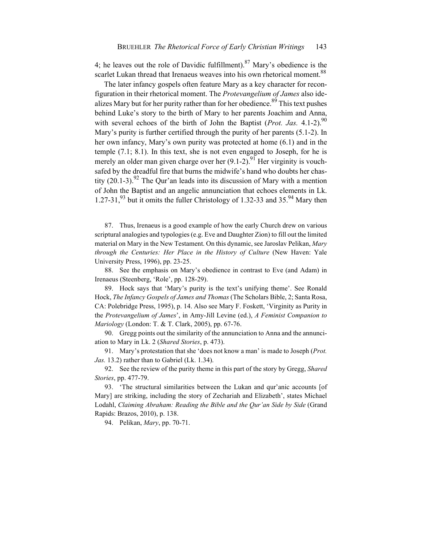4; he leaves out the role of Davidic fulfillment).<sup>87</sup> Mary's obedience is the scarlet Lukan thread that Irenaeus weaves into his own rhetorical moment.<sup>88</sup>

The later infancy gospels often feature Mary as a key character for reconfiguration in their rhetorical moment. The *Protevangelium of James* also idealizes Mary but for her purity rather than for her obedience.<sup>89</sup> This text pushes behind Luke's story to the birth of Mary to her parents Joachim and Anna, with several echoes of the birth of John the Baptist (*Prot. Jas.* 4.1-2).<sup>90</sup> Mary's purity is further certified through the purity of her parents (5.1-2). In her own infancy, Mary's own purity was protected at home (6.1) and in the temple (7.1; 8.1). In this text, she is not even engaged to Joseph, for he is merely an older man given charge over her  $(9.1-2)$ .<sup>91</sup> Her virginity is vouchsafed by the dreadful fire that burns the midwife's hand who doubts her chastity  $(20.1-3)$ .<sup>92</sup> The Our'an leads into its discussion of Mary with a mention of John the Baptist and an angelic annunciation that echoes elements in Lk. 1.27-31,<sup>93</sup> but it omits the fuller Christology of 1.32-33 and 35.<sup>94</sup> Mary then

87. Thus, Irenaeus is a good example of how the early Church drew on various scriptural analogies and typologies (e.g. Eve and Daughter Zion) to fill out the limited material on Mary in the New Testament. On this dynamic, see Jaroslav Pelikan, *Mary through the Centuries: Her Place in the History of Culture* (New Haven: Yale University Press, 1996), pp. 23-25.

88. See the emphasis on Mary's obedience in contrast to Eve (and Adam) in Irenaeus (Steenberg, 'Role', pp. 128-29).

89. Hock says that 'Mary's purity is the text's unifying theme'. See Ronald Hock, *The Infancy Gospels of James and Thomas* (The Scholars Bible, 2; Santa Rosa, CA: Polebridge Press, 1995), p. 14. Also see Mary F. Foskett, 'Virginity as Purity in the *Protevangelium of James*', in Amy-Jill Levine (ed.), *A Feminist Companion to Mariology* (London: T. & T. Clark, 2005), pp. 67-76.

90. Gregg points out the similarity of the annunciation to Anna and the annunciation to Mary in Lk. 2 (*Shared Stories*, p. 473).

91. Mary's protestation that she 'does not know a man' is made to Joseph (*Prot. Jas.* 13.2) rather than to Gabriel (Lk. 1.34).

92. See the review of the purity theme in this part of the story by Gregg, *Shared Stories*, pp. 477-79.

93. 'The structural similarities between the Lukan and qur'anic accounts [of Mary] are striking, including the story of Zechariah and Elizabeth', states Michael Lodahl, *Claiming Abraham: Reading the Bible and the Qur'an Side by Side* (Grand Rapids: Brazos, 2010), p. 138.

94. Pelikan, *Mary*, pp. 70-71.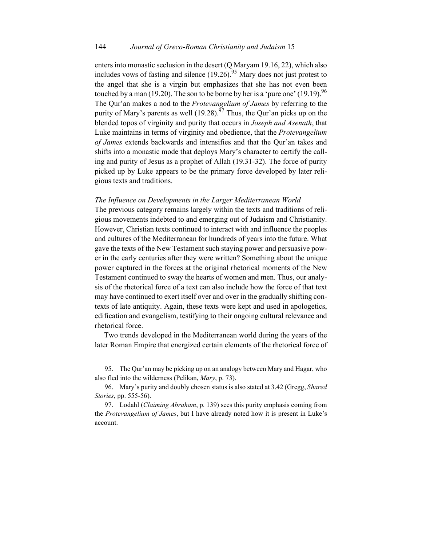enters into monastic seclusion in the desert (Q Maryam 19.16, 22), which also includes vows of fasting and silence  $(19.26)$ .<sup>95</sup> Mary does not just protest to the angel that she is a virgin but emphasizes that she has not even been touched by a man (19.20). The son to be borne by her is a 'pure one' (19.19).<sup>96</sup> The Qur'an makes a nod to the *Protevangelium of James* by referring to the purity of Mary's parents as well  $(19.28)$ .<sup>97</sup> Thus, the Qur'an picks up on the blended topos of virginity and purity that occurs in *Joseph and Asenath*, that Luke maintains in terms of virginity and obedience, that the *Protevangelium of James* extends backwards and intensifies and that the Qur'an takes and shifts into a monastic mode that deploys Mary's character to certify the calling and purity of Jesus as a prophet of Allah (19.31-32). The force of purity picked up by Luke appears to be the primary force developed by later religious texts and traditions.

#### *The Influence on Developments in the Larger Mediterranean World*

The previous category remains largely within the texts and traditions of religious movements indebted to and emerging out of Judaism and Christianity. However, Christian texts continued to interact with and influence the peoples and cultures of the Mediterranean for hundreds of years into the future. What gave the texts of the New Testament such staying power and persuasive power in the early centuries after they were written? Something about the unique power captured in the forces at the original rhetorical moments of the New Testament continued to sway the hearts of women and men. Thus, our analysis of the rhetorical force of a text can also include how the force of that text may have continued to exert itself over and over in the gradually shifting contexts of late antiquity. Again, these texts were kept and used in apologetics, edification and evangelism, testifying to their ongoing cultural relevance and rhetorical force.

Two trends developed in the Mediterranean world during the years of the later Roman Empire that energized certain elements of the rhetorical force of

95. The Qur'an may be picking up on an analogy between Mary and Hagar, who also fled into the wilderness (Pelikan, *Mary*, p. 73).

96. Mary's purity and doubly chosen status is also stated at 3.42 (Gregg, *Shared Stories*, pp. 555-56).

97. Lodahl (*Claiming Abraham*, p. 139) sees this purity emphasis coming from the *Protevangelium of James*, but I have already noted how it is present in Luke's account.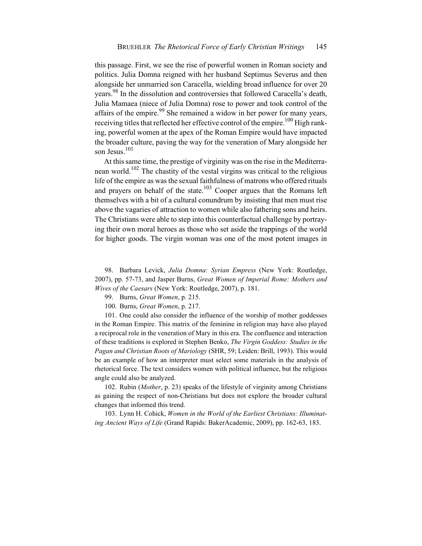this passage. First, we see the rise of powerful women in Roman society and politics. Julia Domna reigned with her husband Septimus Severus and then alongside her unmarried son Caracella, wielding broad influence for over 20 years.98 In the dissolution and controversies that followed Caracella's death, Julia Mamaea (niece of Julia Domna) rose to power and took control of the affairs of the empire.<sup>99</sup> She remained a widow in her power for many years, receiving titles that reflected her effective control of the empire.<sup>100</sup> High ranking, powerful women at the apex of the Roman Empire would have impacted the broader culture, paving the way for the veneration of Mary alongside her son Jesus.<sup>101</sup>

At this same time, the prestige of virginity was on the rise in the Mediterranean world.<sup>102</sup> The chastity of the vestal virgins was critical to the religious life of the empire as was the sexual faithfulness of matrons who offered rituals and prayers on behalf of the state.<sup>103</sup> Cooper argues that the Romans left themselves with a bit of a cultural conundrum by insisting that men must rise above the vagaries of attraction to women while also fathering sons and heirs. The Christians were able to step into this counterfactual challenge by portraying their own moral heroes as those who set aside the trappings of the world for higher goods. The virgin woman was one of the most potent images in

98. Barbara Levick, *Julia Domna: Syrian Empress* (New York: Routledge, 2007), pp. 57-73, and Jasper Burns, *Great Women of Imperial Rome: Mothers and Wives of the Caesars* (New York: Routledge, 2007), p. 181.

99. Burns, *Great Women*, p. 215.

100. Burns, *Great Women*, p. 217.

101. One could also consider the influence of the worship of mother goddesses in the Roman Empire. This matrix of the feminine in religion may have also played a reciprocal role in the veneration of Mary in this era. The confluence and interaction of these traditions is explored in Stephen Benko, *The Virgin Goddess: Studies in the Pagan and Christian Roots of Mariology* (SHR, 59; Leiden: Brill, 1993). This would be an example of how an interpreter must select some materials in the analysis of rhetorical force. The text considers women with political influence, but the religious angle could also be analyzed.

102. Rubin (*Mother*, p. 23) speaks of the lifestyle of virginity among Christians as gaining the respect of non-Christians but does not explore the broader cultural changes that informed this trend.

103. Lynn H. Cohick, *Women in the World of the Earliest Christians: Illuminating Ancient Ways of Life* (Grand Rapids: BakerAcademic, 2009), pp. 162-63, 183.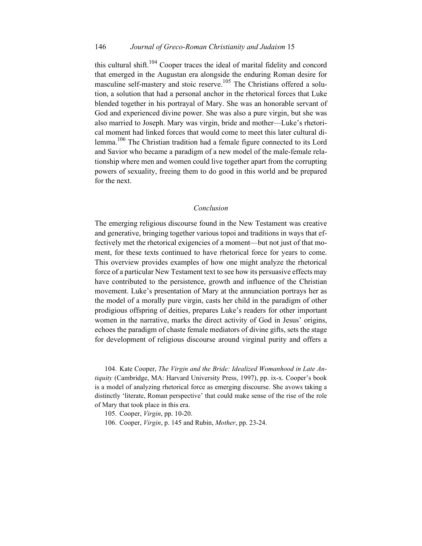## 146 *Journal of Greco-Roman Christianity and Judaism* 15

this cultural shift.<sup>104</sup> Cooper traces the ideal of marital fidelity and concord that emerged in the Augustan era alongside the enduring Roman desire for masculine self-mastery and stoic reserve.<sup>105</sup> The Christians offered a solution, a solution that had a personal anchor in the rhetorical forces that Luke blended together in his portrayal of Mary. She was an honorable servant of God and experienced divine power. She was also a pure virgin, but she was also married to Joseph. Mary was virgin, bride and mother—Luke's rhetorical moment had linked forces that would come to meet this later cultural dilemma.<sup>106</sup> The Christian tradition had a female figure connected to its Lord and Savior who became a paradigm of a new model of the male-female relationship where men and women could live together apart from the corrupting powers of sexuality, freeing them to do good in this world and be prepared for the next.

### *Conclusion*

The emerging religious discourse found in the New Testament was creative and generative, bringing together various topoi and traditions in ways that effectively met the rhetorical exigencies of a moment—but not just of that moment, for these texts continued to have rhetorical force for years to come. This overview provides examples of how one might analyze the rhetorical force of a particular New Testament text to see how its persuasive effects may have contributed to the persistence, growth and influence of the Christian movement. Luke's presentation of Mary at the annunciation portrays her as the model of a morally pure virgin, casts her child in the paradigm of other prodigious offspring of deities, prepares Luke's readers for other important women in the narrative, marks the direct activity of God in Jesus' origins, echoes the paradigm of chaste female mediators of divine gifts, sets the stage for development of religious discourse around virginal purity and offers a

104. Kate Cooper, *The Virgin and the Bride: Idealized Womanhood in Late Antiquity* (Cambridge, MA: Harvard University Press, 1997), pp. ix-x. Cooper's book is a model of analyzing rhetorical force as emerging discourse. She avows taking a distinctly 'literate, Roman perspective' that could make sense of the rise of the role of Mary that took place in this era.

105. Cooper, *Virgin*, pp. 10-20.

106. Cooper, *Virgin*, p. 145 and Rubin, *Mother*, pp. 23-24.